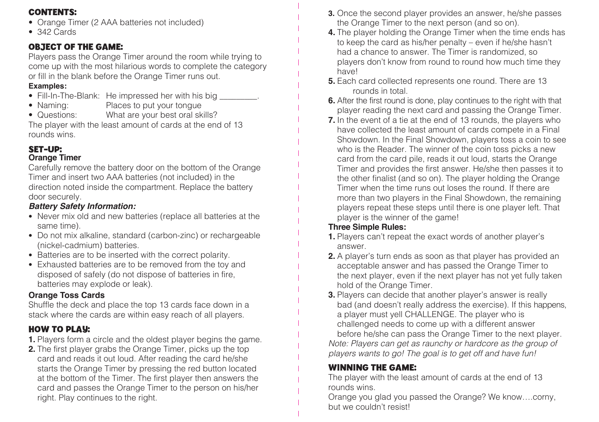### **CONTENTS:**

- Orange Timer (2 AAA batteries not included)
- 342 Cards

### **OBJECT OF THE GAME:**

Players pass the Orange Timer around the room while trying to come up with the most hilarious words to complete the category or fill in the blank before the Orange Timer runs out.

#### **Examples:**

- Fill-In-The-Blank: He impressed her with his big
- Naming: Places to put your tongue<br>• Questions: What are your best oral sk
- What are your best oral skills?

The player with the least amount of cards at the end of 13 rounds wins.

## **SET-UP:**

#### **Orange Timer**

Carefully remove the battery door on the bottom of the Orange Timer and insert two AAA batteries (not included) in the direction noted inside the compartment. Replace the battery door securely.

#### *Battery Safety Information:*

- Never mix old and new batteries (replace all batteries at the same time).
- Do not mix alkaline, standard (carbon-zinc) or rechargeable (nickel-cadmium) batteries.
- Batteries are to be inserted with the correct polarity.
- Exhausted batteries are to be removed from the toy and disposed of safely (do not dispose of batteries in fire, batteries may explode or leak).

### **Orange Toss Cards**

Shuffle the deck and place the top 13 cards face down in a stack where the cards are within easy reach of all players.

## **HOW TO PLAY:**

- **1.** Players form a circle and the oldest player begins the game.
- **2.** The first player grabs the Orange Timer, picks up the top card and reads it out loud. After reading the card he/she starts the Orange Timer by pressing the red button located at the bottom of the Timer. The first player then answers the card and passes the Orange Timer to the person on his/her right. Play continues to the right.
- **3.** Once the second player provides an answer, he/she passes the Orange Timer to the next person (and so on).
- **4.** The player holding the Orange Timer when the time ends has to keep the card as his/her penalty – even if he/she hasn't had a chance to answer. The Timer is randomized, so players don't know from round to round how much time they have!
- **5.** Each card collected represents one round. There are 13 rounds in total.
- **6.** After the first round is done, play continues to the right with that player reading the next card and passing the Orange Timer.
- **7.** In the event of a tie at the end of 13 rounds, the players who have collected the least amount of cards compete in a Final Showdown. In the Final Showdown, players toss a coin to see who is the Reader. The winner of the coin toss picks a new card from the card pile, reads it out loud, starts the Orange Timer and provides the first answer. He/she then passes it to the other finalist (and so on). The player holding the Orange Timer when the time runs out loses the round. If there are more than two players in the Final Showdown, the remaining players repeat these steps until there is one player left. That player is the winner of the game!

### **Three Simple Rules:**

- **1.** Players can't repeat the exact words of another player's answer.
- **2.** A player's turn ends as soon as that player has provided an acceptable answer and has passed the Orange Timer to the next player, even if the next player has not yet fully taken hold of the Orange Timer.
- **3.** Players can decide that another player's answer is really bad (and doesn't really address the exercise). If this happens, a player must yell CHALLENGE. The player who is challenged needs to come up with a different answer before he/she can pass the Orange Timer to the next player. *Note: Players can get as raunchy or hardcore as the group of players wants to go! The goal is to get off and have fun!*

## **WINNING THE GAME:**

The player with the least amount of cards at the end of 13 rounds wins.

Orange you glad you passed the Orange? We know….corny, but we couldn't resist!